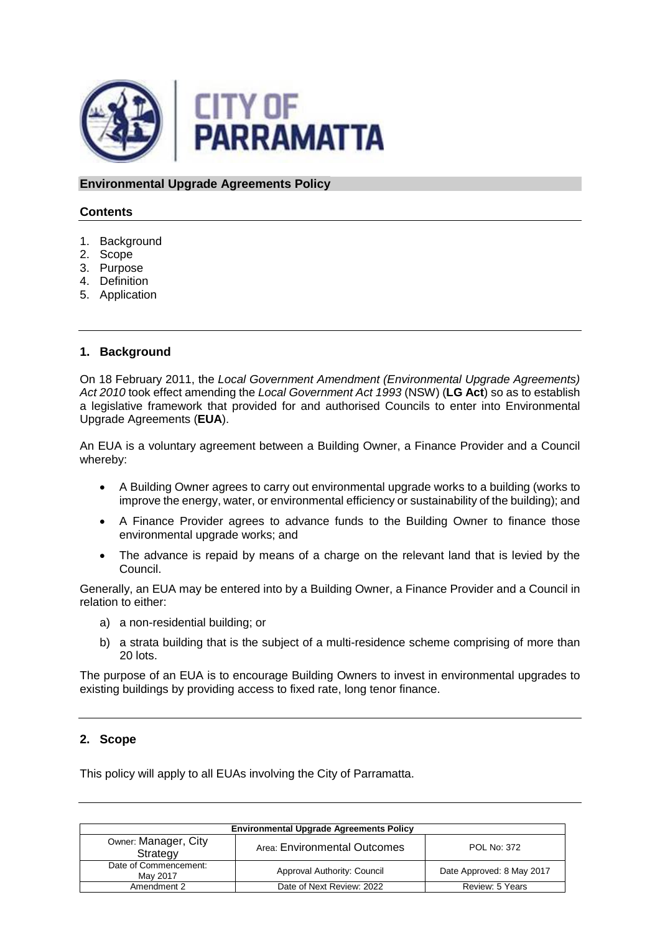

**Environmental Upgrade Agreements Policy**

## **Contents**

- 1. Background
- 2. Scope
- 3. Purpose
- 4. Definition
- 5. Application

## **1. Background**

On 18 February 2011, the *Local Government Amendment (Environmental Upgrade Agreements) Act 2010* took effect amending the *Local Government Act 1993* (NSW) (**LG Act**) so as to establish a legislative framework that provided for and authorised Councils to enter into Environmental Upgrade Agreements (**EUA**).

An EUA is a voluntary agreement between a Building Owner, a Finance Provider and a Council whereby:

- A Building Owner agrees to carry out environmental upgrade works to a building (works to improve the energy, water, or environmental efficiency or sustainability of the building); and
- A Finance Provider agrees to advance funds to the Building Owner to finance those environmental upgrade works; and
- The advance is repaid by means of a charge on the relevant land that is levied by the Council.

Generally, an EUA may be entered into by a Building Owner, a Finance Provider and a Council in relation to either:

- a) a non-residential building; or
- b) a strata building that is the subject of a multi-residence scheme comprising of more than 20 lots.

The purpose of an EUA is to encourage Building Owners to invest in environmental upgrades to existing buildings by providing access to fixed rate, long tenor finance.

# **2. Scope**

This policy will apply to all EUAs involving the City of Parramatta.

| <b>Environmental Upgrade Agreements Policy</b> |                              |                           |  |
|------------------------------------------------|------------------------------|---------------------------|--|
| Owner: Manager, City<br>Strategy               | Area: Environmental Outcomes | <b>POL No: 372</b>        |  |
| Date of Commencement:<br>May 2017              | Approval Authority: Council  | Date Approved: 8 May 2017 |  |
| Amendment 2                                    | Date of Next Review: 2022    | Review: 5 Years           |  |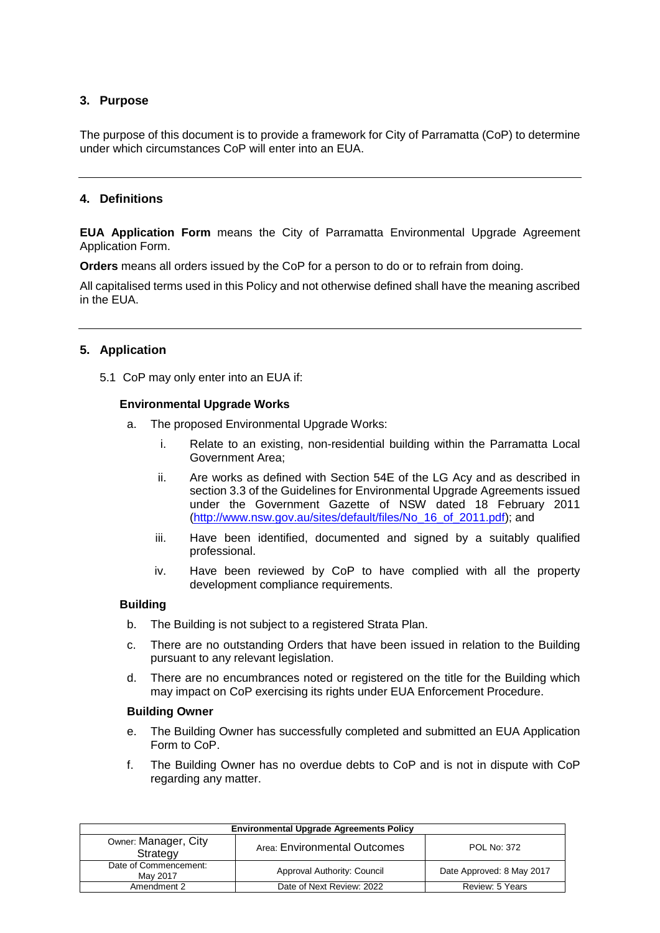# **3. Purpose**

The purpose of this document is to provide a framework for City of Parramatta (CoP) to determine under which circumstances CoP will enter into an EUA.

## **4. Definitions**

**EUA Application Form** means the City of Parramatta Environmental Upgrade Agreement Application Form.

**Orders** means all orders issued by the CoP for a person to do or to refrain from doing.

All capitalised terms used in this Policy and not otherwise defined shall have the meaning ascribed in the EUA.

## **5. Application**

5.1 CoP may only enter into an EUA if:

#### **Environmental Upgrade Works**

- a. The proposed Environmental Upgrade Works:
	- i. Relate to an existing, non-residential building within the Parramatta Local Government Area;
	- ii. Are works as defined with Section 54E of the LG Acy and as described in section 3.3 of the Guidelines for Environmental Upgrade Agreements issued under the Government Gazette of NSW dated 18 February 2011 [\(http://www.nsw.gov.au/sites/default/files/No\\_16\\_of\\_2011.pdf\)](http://www.nsw.gov.au/sites/default/files/No_16_of_2011.pdf); and
	- iii. Have been identified, documented and signed by a suitably qualified professional.
	- iv. Have been reviewed by CoP to have complied with all the property development compliance requirements.

#### **Building**

- b. The Building is not subject to a registered Strata Plan.
- c. There are no outstanding Orders that have been issued in relation to the Building pursuant to any relevant legislation.
- d. There are no encumbrances noted or registered on the title for the Building which may impact on CoP exercising its rights under EUA Enforcement Procedure.

#### **Building Owner**

- e. The Building Owner has successfully completed and submitted an EUA Application Form to CoP.
- f. The Building Owner has no overdue debts to CoP and is not in dispute with CoP regarding any matter.

| <b>Environmental Upgrade Agreements Policy</b> |                              |                           |  |  |
|------------------------------------------------|------------------------------|---------------------------|--|--|
| Owner: Manager, City<br>Strategy               | Area: Environmental Outcomes | <b>POL No: 372</b>        |  |  |
| Date of Commencement:<br>May 2017              | Approval Authority: Council  | Date Approved: 8 May 2017 |  |  |
| Amendment 2                                    | Date of Next Review: 2022    | Review: 5 Years           |  |  |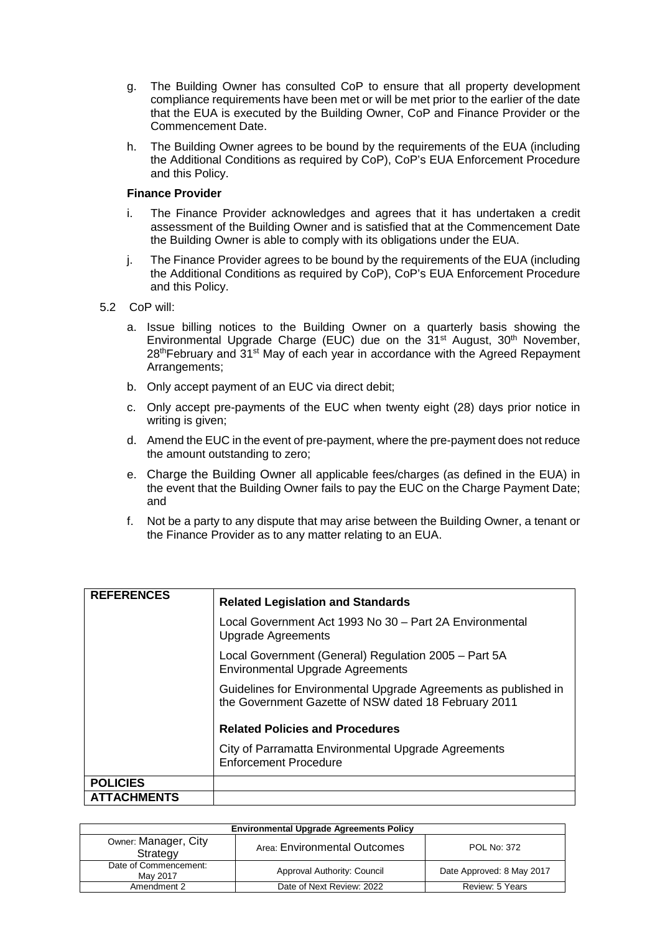- g. The Building Owner has consulted CoP to ensure that all property development compliance requirements have been met or will be met prior to the earlier of the date that the EUA is executed by the Building Owner, CoP and Finance Provider or the Commencement Date.
- h. The Building Owner agrees to be bound by the requirements of the EUA (including the Additional Conditions as required by CoP), CoP's EUA Enforcement Procedure and this Policy.

#### **Finance Provider**

- i. The Finance Provider acknowledges and agrees that it has undertaken a credit assessment of the Building Owner and is satisfied that at the Commencement Date the Building Owner is able to comply with its obligations under the EUA.
- j. The Finance Provider agrees to be bound by the requirements of the EUA (including the Additional Conditions as required by CoP), CoP's EUA Enforcement Procedure and this Policy.
- 5.2 CoP will:
	- a. Issue billing notices to the Building Owner on a quarterly basis showing the Environmental Upgrade Charge (EUC) due on the 31<sup>st</sup> August, 30<sup>th</sup> November,  $28<sup>th</sup>$ February and  $31<sup>st</sup>$  May of each year in accordance with the Agreed Repayment Arrangements;
	- b. Only accept payment of an EUC via direct debit;
	- c. Only accept pre-payments of the EUC when twenty eight (28) days prior notice in writing is given;
	- d. Amend the EUC in the event of pre-payment, where the pre-payment does not reduce the amount outstanding to zero;
	- e. Charge the Building Owner all applicable fees/charges (as defined in the EUA) in the event that the Building Owner fails to pay the EUC on the Charge Payment Date; and
	- f. Not be a party to any dispute that may arise between the Building Owner, a tenant or the Finance Provider as to any matter relating to an EUA.

| <b>REFERENCES</b>  | <b>Related Legislation and Standards</b>                                                                                |  |
|--------------------|-------------------------------------------------------------------------------------------------------------------------|--|
|                    | Local Government Act 1993 No 30 - Part 2A Environmental<br><b>Upgrade Agreements</b>                                    |  |
|                    | Local Government (General) Regulation 2005 - Part 5A<br><b>Environmental Upgrade Agreements</b>                         |  |
|                    | Guidelines for Environmental Upgrade Agreements as published in<br>the Government Gazette of NSW dated 18 February 2011 |  |
|                    | <b>Related Policies and Procedures</b>                                                                                  |  |
|                    | City of Parramatta Environmental Upgrade Agreements<br><b>Enforcement Procedure</b>                                     |  |
| <b>POLICIES</b>    |                                                                                                                         |  |
| <b>ATTACHMENTS</b> |                                                                                                                         |  |

| <b>Environmental Upgrade Agreements Policy</b> |                              |                           |  |  |
|------------------------------------------------|------------------------------|---------------------------|--|--|
| Owner: Manager, City<br>Strategy               | Area: Environmental Outcomes | POL No: 372               |  |  |
| Date of Commencement:<br>May 2017              | Approval Authority: Council  | Date Approved: 8 May 2017 |  |  |
| Amendment 2                                    | Date of Next Review: 2022    | Review: 5 Years           |  |  |